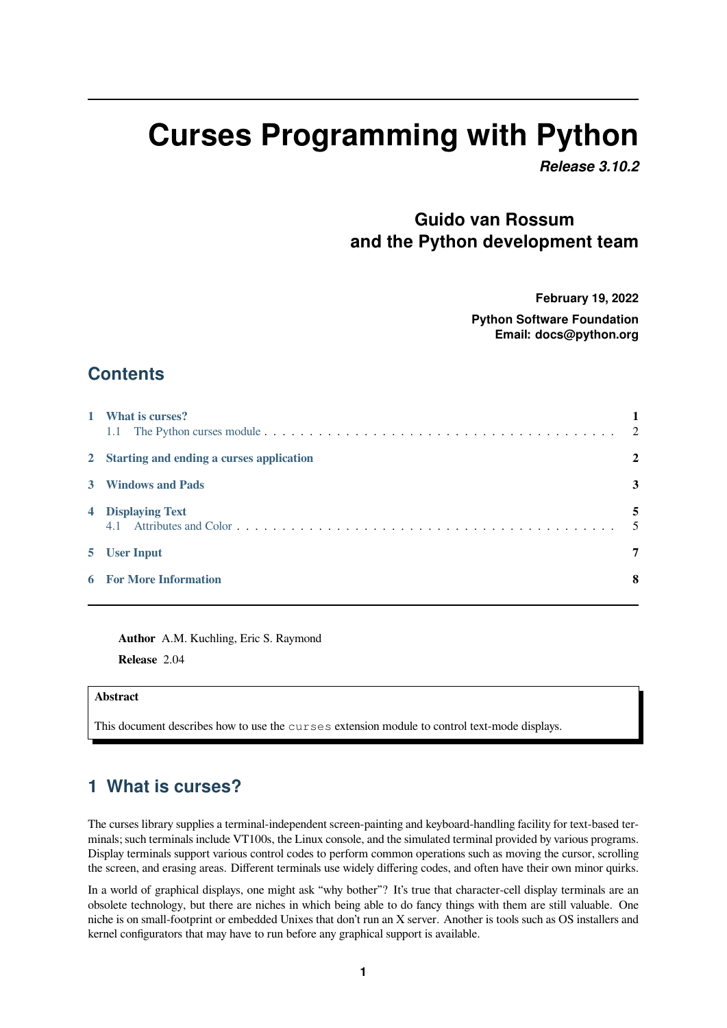# **Curses Programming with Python**

*Release 3.10.2*

# **Guido van Rossum and the Python development team**

**February 19, 2022**

**Python Software Foundation Email: docs@python.org**

## **Contents**

| 1 What is curses?                          | $\overline{2}$ |
|--------------------------------------------|----------------|
| 2 Starting and ending a curses application | $\mathbf{2}$   |
| 3 Windows and Pads                         | 3              |
| 4 Displaying Text                          | 5<br>-5        |
| 5 User Input                               | 7              |
| <b>6</b> For More Information              | 8              |

**Author** [A.M. Kuchli](#page-7-0)ng, Eric S. Raymond

**Release** 2.04

#### **Abstract**

This document describes how to use the curses extension module to control text-mode displays.

## **1 What is curses?**

<span id="page-0-0"></span>The curses library supplies a terminal-independent screen-painting and keyboard-handling facility for text-based terminals; such terminals include VT100s, the Linux console, and the simulated terminal provided by various programs. Display terminals support various control codes to perform common operations such as moving the cursor, scrolling the screen, and erasing areas. Different terminals use widely differing codes, and often have their own minor quirks.

In a world of graphical displays, one might ask "why bother"? It's true that character-cell display terminals are an obsolete technology, but there are niches in which being able to do fancy things with them are still valuable. One niche is on small-footprint or embedded Unixes that don't run an X server. Another is tools such as OS installers and kernel configurators that may have to run before any graphical support is available.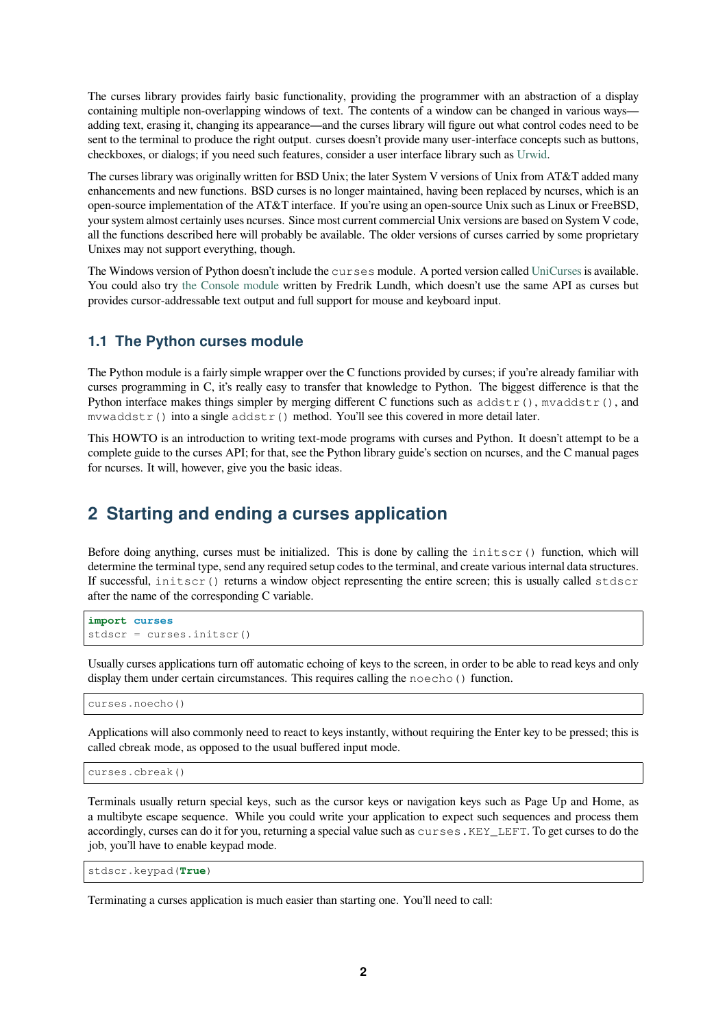The curses library provides fairly basic functionality, providing the programmer with an abstraction of a display containing multiple non-overlapping windows of text. The contents of a window can be changed in various ways adding text, erasing it, changing its appearance—and the curses library will figure out what control codes need to be sent to the terminal to produce the right output. curses doesn't provide many user-interface concepts such as buttons, checkboxes, or dialogs; if you need such features, consider a user interface library such as Urwid.

The curses library was originally written for BSD Unix; the later System V versions of Unix from AT&T added many enhancements and new functions. BSD curses is no longer maintained, having been replaced by ncurses, which is an open-source implementation of the AT&T interface. If you're using an open-source Unix such as Linux or FreeBSD, your system almost certainly uses ncurses. Since most current commercial Unix versions ar[e based](https://pypi.org/project/urwid/) on System V code, all the functions described here will probably be available. The older versions of curses carried by some proprietary Unixes may not support everything, though.

The Windows version of Python doesn't include the curses module. A ported version called UniCurses is available. You could also try the Console module written by Fredrik Lundh, which doesn't use the same API as curses but provides cursor-addressable text output and full support for mouse and keyboard input.

#### **1.1 The Pyth[on curses mod](http://effbot.org/zone/console-index.htm)ule**

<span id="page-1-0"></span>The Python module is a fairly simple wrapper over the C functions provided by curses; if you're already familiar with curses programming in C, it's really easy to transfer that knowledge to Python. The biggest difference is that the Python interface makes things simpler by merging different C functions such as  $addstr()$ , mvaddstr $()$ , and mvwaddstr() into a single  $addstr()$  method. You'll see this covered in more detail later.

This HOWTO is an introduction to writing text-mode programs with curses and Python. It doesn't attempt to be a complete guide to the curses API; for that, see the Python library guide's section on ncurses, and the C manual pages for ncurses. It will, however, give you the basic ideas.

#### **2 Starting and ending a curses application**

<span id="page-1-1"></span>Before doing anything, curses must be initialized. This is done by calling the initscr() function, which will determine the terminal type, send any required setup codes to the terminal, and create various internal data structures. If successful, initscr() returns a window object representing the entire screen; this is usually called stdscr after the name of the corresponding C variable.

```
import curses
stdscr = curses.initscr()
```
Usually curses applications turn off automatic echoing of keys to the screen, in order to be able to read keys and only display them under certain circumstances. This requires calling the noecho() function.

curses.noecho()

Applications will also commonly need to react to keys instantly, without requiring the Enter key to be pressed; this is called cbreak mode, as opposed to the usual buffered input mode.

curses.cbreak()

Terminals usually return special keys, such as the cursor keys or navigation keys such as Page Up and Home, as a multibyte escape sequence. While you could write your application to expect such sequences and process them accordingly, curses can do it for you, returning a special value such as curses.KEY\_LEFT. To get curses to do the job, you'll have to enable keypad mode.

stdscr.keypad(**True**)

Terminating a curses application is much easier than starting one. You'll need to call: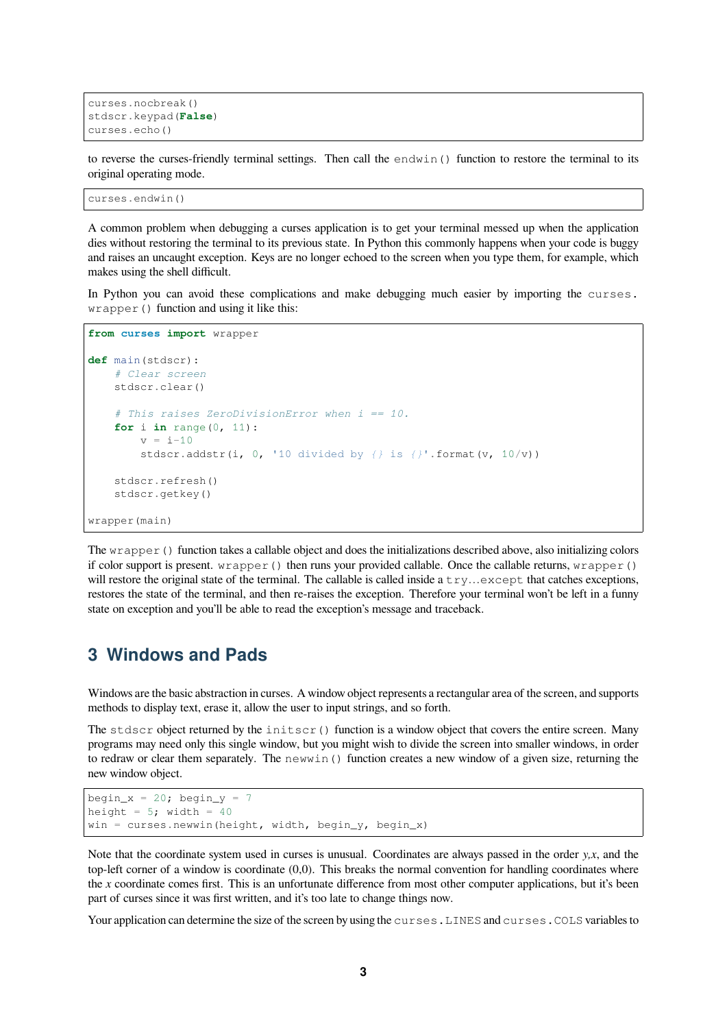```
curses.nocbreak()
stdscr.keypad(False)
curses.echo()
```
to reverse the curses-friendly terminal settings. Then call the endwin() function to restore the terminal to its original operating mode.

```
curses.endwin()
```
A common problem when debugging a curses application is to get your terminal messed up when the application dies without restoring the terminal to its previous state. In Python this commonly happens when your code is buggy and raises an uncaught exception. Keys are no longer echoed to the screen when you type them, for example, which makes using the shell difficult.

In Python you can avoid these complications and make debugging much easier by importing the curses. wrapper() function and using it like this:

```
from curses import wrapper
def main(stdscr):
    # Clear screen
    stdscr.clear()
    # This raises ZeroDivisionError when i == 10.
    for i in range(0, 11):
        v = i-10stdscr.addstr(i, 0, '10 divided by {} is {}'.format(v, 10/v))
    stdscr.refresh()
    stdscr.getkey()
wrapper(main)
```
The  $wrapper()$  function takes a callable object and does the initializations described above, also initializing colors if color support is present. wrapper() then runs your provided callable. Once the callable returns, wrapper() will restore the original state of the terminal. The callable is called inside a  $\text{try}...$ except that catches exceptions, restores the state of the terminal, and then re-raises the exception. Therefore your terminal won't be left in a funny state on exception and you'll be able to read the exception's message and traceback.

#### <span id="page-2-0"></span>**3 Windows and Pads**

Windows are the basic abstraction in curses. A window object represents a rectangular area of the screen, and supports methods to display text, erase it, allow the user to input strings, and so forth.

The stdscr object returned by the initscr() function is a window object that covers the entire screen. Many programs may need only this single window, but you might wish to divide the screen into smaller windows, in order to redraw or clear them separately. The newwin() function creates a new window of a given size, returning the new window object.

```
begin x = 20; begin y = 7height = 5; width = 40win = curses.newwin(height, width, begin_y, begin_x)
```
Note that the coordinate system used in curses is unusual. Coordinates are always passed in the order *y,x*, and the top-left corner of a window is coordinate (0,0). This breaks the normal convention for handling coordinates where the *x* coordinate comes first. This is an unfortunate difference from most other computer applications, but it's been part of curses since it was first written, and it's too late to change things now.

Your application can determine the size of the screen by using the curses. LINES and curses. COLS variables to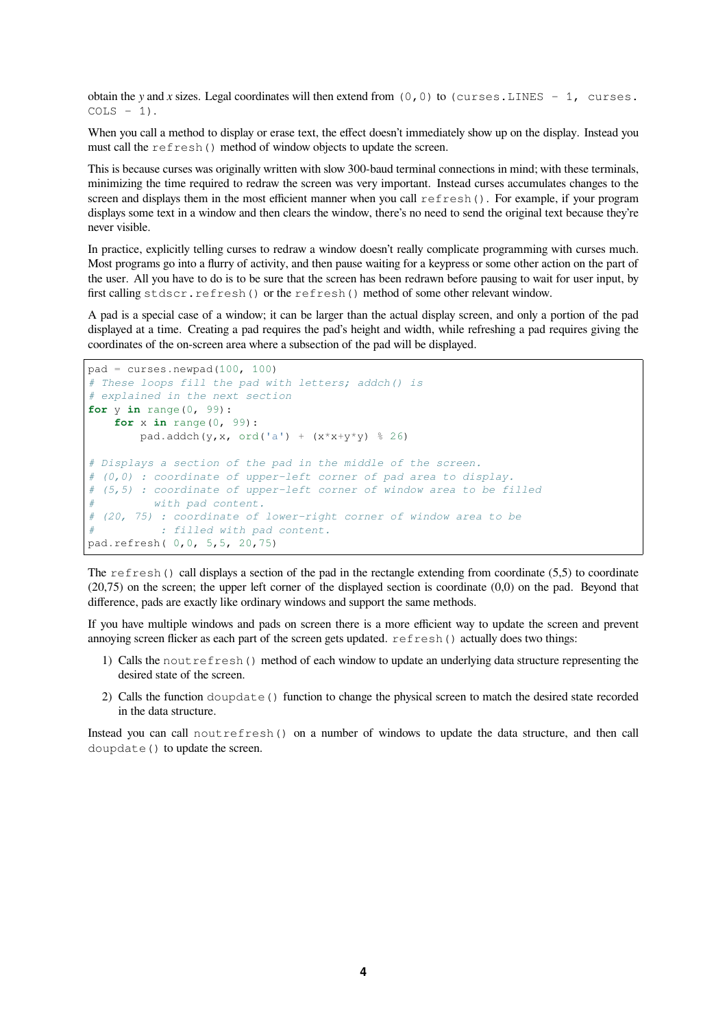obtain the *y* and *x* sizes. Legal coordinates will then extend from  $(0, 0)$  to  $(curses.LINES - 1, curveses.$  $COLS - 1$ .

When you call a method to display or erase text, the effect doesn't immediately show up on the display. Instead you must call the refresh() method of window objects to update the screen.

This is because curses was originally written with slow 300-baud terminal connections in mind; with these terminals, minimizing the time required to redraw the screen was very important. Instead curses accumulates changes to the screen and displays them in the most efficient manner when you call refresh(). For example, if your program displays some text in a window and then clears the window, there's no need to send the original text because they're never visible.

In practice, explicitly telling curses to redraw a window doesn't really complicate programming with curses much. Most programs go into a flurry of activity, and then pause waiting for a keypress or some other action on the part of the user. All you have to do is to be sure that the screen has been redrawn before pausing to wait for user input, by first calling stdscr.refresh() or the refresh() method of some other relevant window.

A pad is a special case of a window; it can be larger than the actual display screen, and only a portion of the pad displayed at a time. Creating a pad requires the pad's height and width, while refreshing a pad requires giving the coordinates of the on-screen area where a subsection of the pad will be displayed.

```
pad = curves.newpad(100, 100)# These loops fill the pad with letters; addch() is
# explained in the next section
for y in range(0, 99):
   for x in range(0, 99):
       pad.addch(y,x, ord('a') + (x*x+y*y) % 26)
# Displays a section of the pad in the middle of the screen.
# (0,0) : coordinate of upper-left corner of pad area to display.
# (5,5) : coordinate of upper-left corner of window area to be filled
# with pad content.
# (20, 75) : coordinate of lower-right corner of window area to be
# : filled with pad content.
pad.refresh( 0,0, 5,5, 20,75)
```
The refresh() call displays a section of the pad in the rectangle extending from coordinate  $(5.5)$  to coordinate  $(20,75)$  on the screen; the upper left corner of the displayed section is coordinate  $(0,0)$  on the pad. Beyond that difference, pads are exactly like ordinary windows and support the same methods.

If you have multiple windows and pads on screen there is a more efficient way to update the screen and prevent annoying screen flicker as each part of the screen gets updated. refresh() actually does two things:

- 1) Calls the noutrefresh() method of each window to update an underlying data structure representing the desired state of the screen.
- 2) Calls the function doupdate () function to change the physical screen to match the desired state recorded in the data structure.

Instead you can call noutrefresh() on a number of windows to update the data structure, and then call doupdate() to update the screen.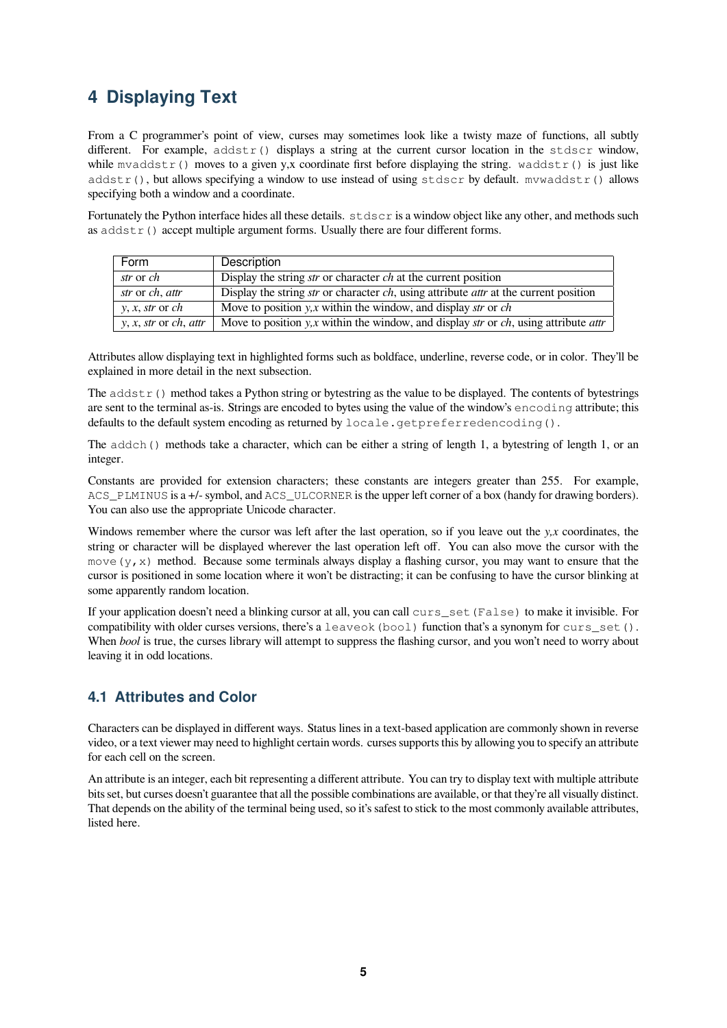## <span id="page-4-0"></span>**4 Displaying Text**

From a C programmer's point of view, curses may sometimes look like a twisty maze of functions, all subtly different. For example,  $addstr()$  displays a string at the current cursor location in the stdscr window, while mvaddstr() moves to a given y,x coordinate first before displaying the string. waddstr() is just like  $addstr()$ , but allows specifying a window to use instead of using stdscr by default. mvwaddstr() allows specifying both a window and a coordinate.

Fortunately the Python interface hides all these details.  $stdscr$  is a window object like any other, and methods such as  $addstr()$  accept multiple argument forms. Usually there are four different forms.

| Form                                   | Description                                                                                                          |
|----------------------------------------|----------------------------------------------------------------------------------------------------------------------|
| str or ch                              | Display the string <i>str</i> or character <i>ch</i> at the current position                                         |
| str or ch, attr                        | Display the string <i>str</i> or character <i>ch</i> , using attribute <i>attr</i> at the current position           |
| $y, x, str$ or $ch$                    | Move to position $y$ , x within the window, and display str or ch                                                    |
| $y, x, str$ or <i>ch</i> , <i>attr</i> | Move to position $y$ , <i>x</i> within the window, and display <i>str</i> or <i>ch</i> , using attribute <i>attr</i> |

Attributes allow displaying text in highlighted forms such as boldface, underline, reverse code, or in color. They'll be explained in more detail in the next subsection.

The  $addstr()$  method takes a Python string or bytestring as the value to be displayed. The contents of bytestrings are sent to the terminal as-is. Strings are encoded to bytes using the value of the window's encoding attribute; this defaults to the default system encoding as returned by locale.getpreferredencoding().

The addch() methods take a character, which can be either a string of length 1, a bytestring of length 1, or an integer.

Constants are provided for extension characters; these constants are integers greater than 255. For example, ACS\_PLMINUS is a +/- symbol, and ACS\_ULCORNER is the upper left corner of a box (handy for drawing borders). You can also use the appropriate Unicode character.

Windows remember where the cursor was left after the last operation, so if you leave out the *y,x* coordinates, the string or character will be displayed wherever the last operation left off. You can also move the cursor with the move  $(y, x)$  method. Because some terminals always display a flashing cursor, you may want to ensure that the cursor is positioned in some location where it won't be distracting; it can be confusing to have the cursor blinking at some apparently random location.

If your application doesn't need a blinking cursor at all, you can call curs\_set(False) to make it invisible. For compatibility with older curses versions, there's a leaveok (bool) function that's a synonym for curs set (). When *bool* is true, the curses library will attempt to suppress the flashing cursor, and you won't need to worry about leaving it in odd locations.

#### <span id="page-4-1"></span>**4.1 Attributes and Color**

Characters can be displayed in different ways. Status lines in a text-based application are commonly shown in reverse video, or a text viewer may need to highlight certain words. curses supports this by allowing you to specify an attribute for each cell on the screen.

An attribute is an integer, each bit representing a different attribute. You can try to display text with multiple attribute bits set, but curses doesn't guarantee that all the possible combinations are available, or that they're all visually distinct. That depends on the ability of the terminal being used, so it's safest to stick to the most commonly available attributes, listed here.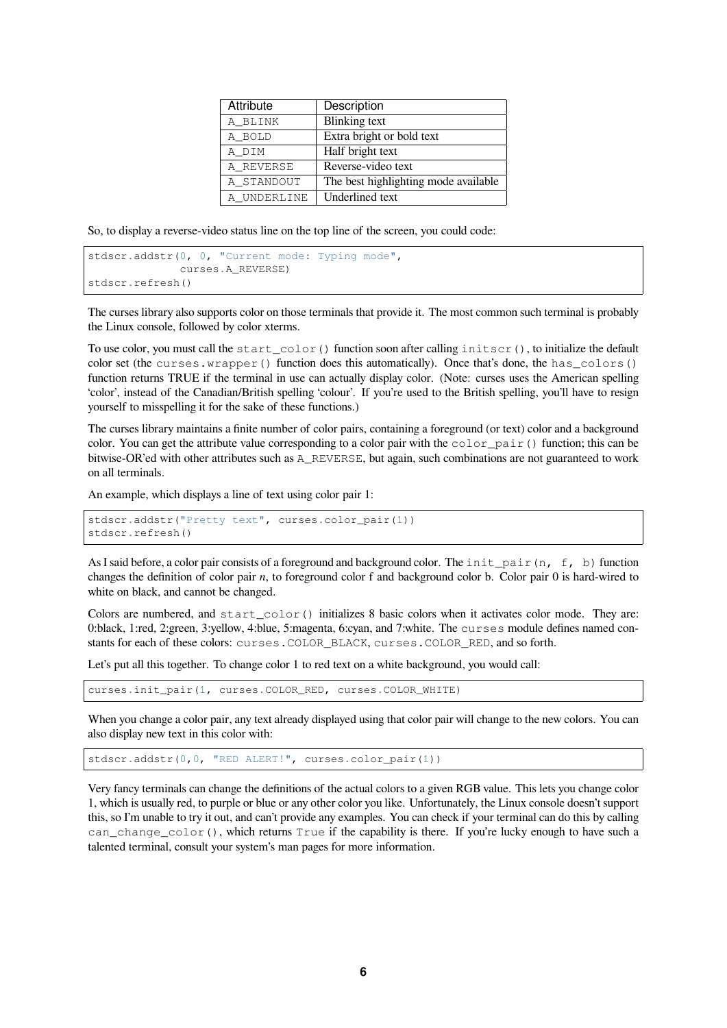| Attribute   | Description                          |
|-------------|--------------------------------------|
| A BLINK     | <b>Blinking</b> text                 |
| A BOLD      | Extra bright or bold text            |
| A DIM       | Half bright text                     |
| A REVERSE   | Reverse-video text                   |
| A STANDOUT  | The best highlighting mode available |
| A UNDERLINE | Underlined text                      |

So, to display a reverse-video status line on the top line of the screen, you could code:

```
stdscr.addstr(0, 0, "Current mode: Typing mode",
              curses.A_REVERSE)
stdscr.refresh()
```
The curses library also supports color on those terminals that provide it. The most common such terminal is probably the Linux console, followed by color xterms.

To use color, you must call the start\_color() function soon after calling initscr(), to initialize the default color set (the curses.wrapper() function does this automatically). Once that's done, the has\_colors() function returns TRUE if the terminal in use can actually display color. (Note: curses uses the American spelling 'color', instead of the Canadian/British spelling 'colour'. If you're used to the British spelling, you'll have to resign yourself to misspelling it for the sake of these functions.)

The curses library maintains a finite number of color pairs, containing a foreground (or text) color and a background color. You can get the attribute value corresponding to a color pair with the  $\text{color\_pair}()$  function; this can be bitwise-OR'ed with other attributes such as A\_REVERSE, but again, such combinations are not guaranteed to work on all terminals.

An example, which displays a line of text using color pair 1:

```
stdscr.addstr("Pretty text", curses.color_pair(1))
stdscr.refresh()
```
As I said before, a color pair consists of a foreground and background color. The init\_pair(n, f, b) function changes the definition of color pair *n*, to foreground color f and background color b. Color pair 0 is hard-wired to white on black, and cannot be changed.

Colors are numbered, and start\_color() initializes 8 basic colors when it activates color mode. They are: 0:black, 1:red, 2:green, 3:yellow, 4:blue, 5:magenta, 6:cyan, and 7:white. The curses module defines named constants for each of these colors: curses.COLOR\_BLACK, curses.COLOR\_RED, and so forth.

Let's put all this together. To change color 1 to red text on a white background, you would call:

curses.init\_pair(1, curses.COLOR\_RED, curses.COLOR\_WHITE)

When you change a color pair, any text already displayed using that color pair will change to the new colors. You can also display new text in this color with:

stdscr.addstr(0,0, "RED ALERT!", curses.color\_pair(1))

Very fancy terminals can change the definitions of the actual colors to a given RGB value. This lets you change color 1, which is usually red, to purple or blue or any other color you like. Unfortunately, the Linux console doesn't support this, so I'm unable to try it out, and can't provide any examples. You can check if your terminal can do this by calling can change  $\text{color}(t)$ , which returns True if the capability is there. If you're lucky enough to have such a talented terminal, consult your system's man pages for more information.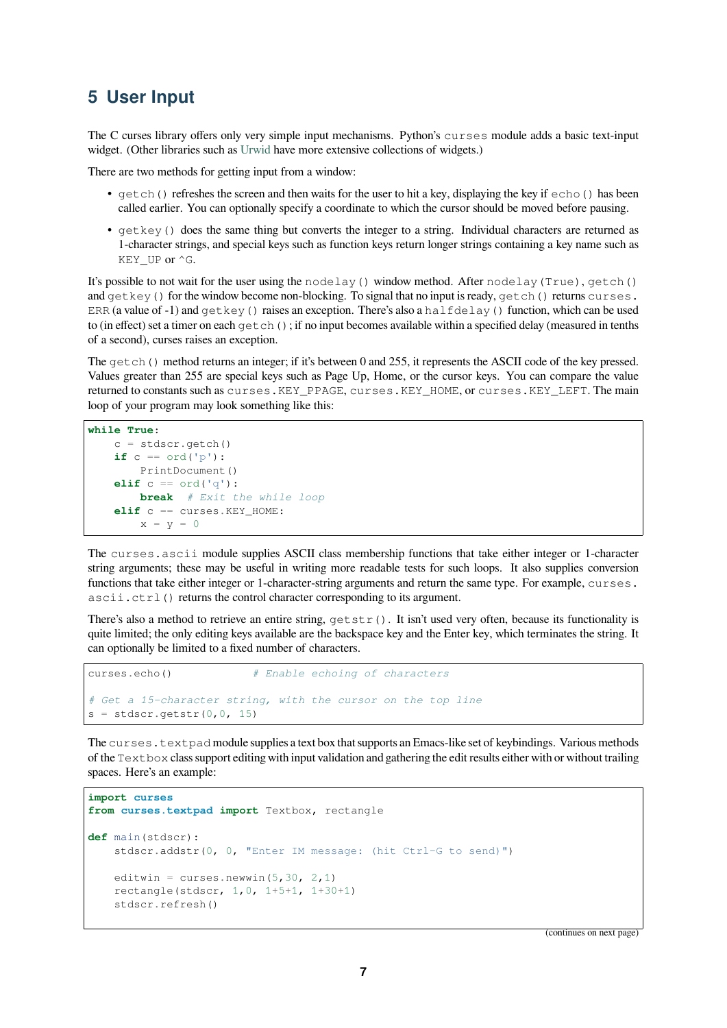## **5 User Input**

The C curses library offers only very simple input mechanisms. Python's curses module adds a basic text-input widget. (Other libraries such as Urwid have more extensive collections of widgets.)

There are two methods for getting input from a window:

- getch() refreshes the screen and then waits for the user to hit a key, displaying the key if  $\epsilon$ cho() has been called earlier. You can o[ptionally](https://pypi.org/project/urwid/) specify a coordinate to which the cursor should be moved before pausing.
- getkey() does the same thing but converts the integer to a string. Individual characters are returned as 1-character strings, and special keys such as function keys return longer strings containing a key name such as KEY UP or ^G.

It's possible to not wait for the user using the nodelay() window method. After nodelay(True), getch() and  $q$ etkey() for the window become non-blocking. To signal that no input is ready,  $q$ etch() returns curses. ERR (a value of -1) and  $q$ etkey() raises an exception. There's also a halfdelay() function, which can be used to (in effect) set a timer on each getch(); if no input becomes available within a specified delay (measured in tenths of a second), curses raises an exception.

The getch() method returns an integer; if it's between 0 and 255, it represents the ASCII code of the key pressed. Values greater than 255 are special keys such as Page Up, Home, or the cursor keys. You can compare the value returned to constants such as curses.KEY\_PPAGE, curses.KEY\_HOME, or curses.KEY\_LEFT. The main loop of your program may look something like this:

```
while True:
   c = stdscr.getch()
   if c == ord('p'):
       PrintDocument()
   elif c == ord('q'):
       break # Exit the while loop
   elif c == curses.KEY_HOME:
       x = y = 0
```
The curses.ascii module supplies ASCII class membership functions that take either integer or 1-character string arguments; these may be useful in writing more readable tests for such loops. It also supplies conversion functions that take either integer or 1-character-string arguments and return the same type. For example, curses. ascii.ctrl() returns the control character corresponding to its argument.

There's also a method to retrieve an entire string,  $q$ etstr(). It isn't used very often, because its functionality is quite limited; the only editing keys available are the backspace key and the Enter key, which terminates the string. It can optionally be limited to a fixed number of characters.

```
curses.echo() # Enable echoing of characters
# Get a 15-character string, with the cursor on the top line
s = stdscr.getstr(0, 0, 15)
```
The curses.textpad module supplies a text box that supports an Emacs-like set of keybindings. Various methods of the Textbox class support editing with input validation and gathering the edit results either with or without trailing spaces. Here's an example:

```
import curses
from curses.textpad import Textbox, rectangle
def main(stdscr):
    stdscr.addstr(0, 0, "Enter IM message: (hit Ctrl-G to send)")
    editwin = curses.newwin(5, 30, 2, 1)
    rectangle(stdscr, 1,0, 1+5+1, 1+30+1)
    stdscr.refresh()
```
(continues on next page)